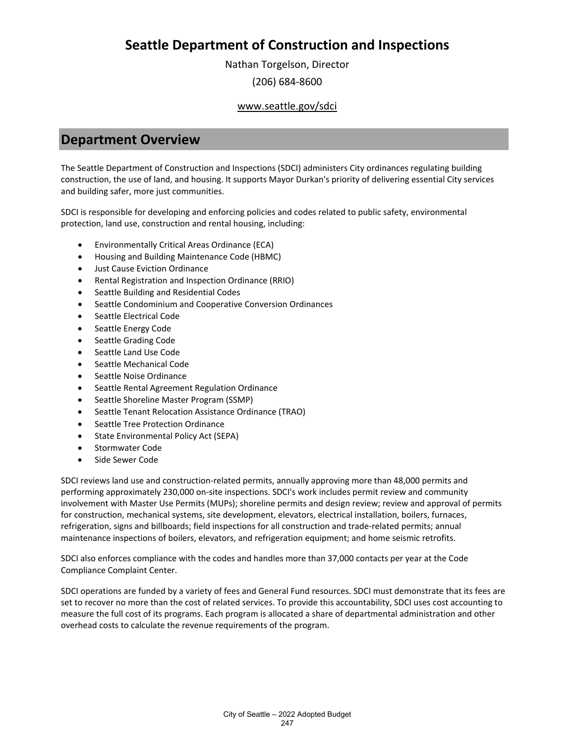Nathan Torgelson, Director (206) 684-8600

# www.seattle.gov/sdci

# **Department Overview**

The Seattle Department of Construction and Inspections (SDCI) administers City ordinances regulating building construction, the use of land, and housing. It supports Mayor Durkan's priority of delivering essential City services and building safer, more just communities.

SDCI is responsible for developing and enforcing policies and codes related to public safety, environmental protection, land use, construction and rental housing, including:

- Environmentally Critical Areas Ordinance (ECA)
- Housing and Building Maintenance Code (HBMC)
- Just Cause Eviction Ordinance
- Rental Registration and Inspection Ordinance (RRIO)
- Seattle Building and Residential Codes
- Seattle Condominium and Cooperative Conversion Ordinances
- Seattle Electrical Code
- Seattle Energy Code
- Seattle Grading Code
- Seattle Land Use Code
- Seattle Mechanical Code
- Seattle Noise Ordinance
- Seattle Rental Agreement Regulation Ordinance
- Seattle Shoreline Master Program (SSMP)
- Seattle Tenant Relocation Assistance Ordinance (TRAO)
- Seattle Tree Protection Ordinance
- State Environmental Policy Act (SEPA)
- Stormwater Code
- Side Sewer Code

SDCI reviews land use and construction-related permits, annually approving more than 48,000 permits and performing approximately 230,000 on-site inspections. SDCI's work includes permit review and community involvement with Master Use Permits (MUPs); shoreline permits and design review; review and approval of permits for construction, mechanical systems, site development, elevators, electrical installation, boilers, furnaces, refrigeration, signs and billboards; field inspections for all construction and trade-related permits; annual maintenance inspections of boilers, elevators, and refrigeration equipment; and home seismic retrofits.

SDCI also enforces compliance with the codes and handles more than 37,000 contacts per year at the Code Compliance Complaint Center.

SDCI operations are funded by a variety of fees and General Fund resources. SDCI must demonstrate that its fees are set to recover no more than the cost of related services. To provide this accountability, SDCI uses cost accounting to measure the full cost of its programs. Each program is allocated a share of departmental administration and other overhead costs to calculate the revenue requirements of the program.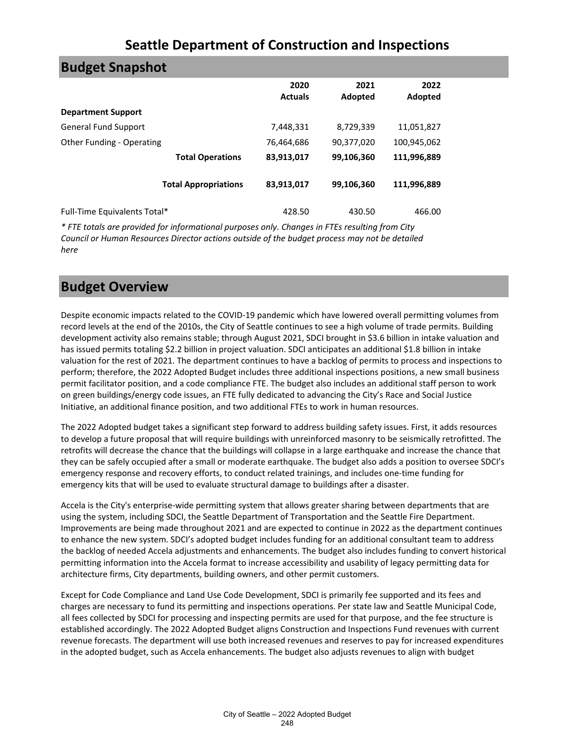| <b>Budget Snapshot</b>           |                             |                        |                 |                 |  |
|----------------------------------|-----------------------------|------------------------|-----------------|-----------------|--|
|                                  |                             | 2020<br><b>Actuals</b> | 2021<br>Adopted | 2022<br>Adopted |  |
| <b>Department Support</b>        |                             |                        |                 |                 |  |
| <b>General Fund Support</b>      |                             | 7,448,331              | 8,729,339       | 11,051,827      |  |
| <b>Other Funding - Operating</b> |                             | 76,464,686             | 90,377,020      | 100,945,062     |  |
|                                  | <b>Total Operations</b>     | 83,913,017             | 99,106,360      | 111,996,889     |  |
|                                  | <b>Total Appropriations</b> | 83,913,017             | 99,106,360      | 111,996,889     |  |
| Full-Time Equivalents Total*     |                             | 428.50                 | 430.50          | 466.00          |  |

*\* FTE totals are provided for informational purposes only. Changes in FTEs resulting from City Council or Human Resources Director actions outside of the budget process may not be detailed here*

# **Budget Overview**

Despite economic impacts related to the COVID-19 pandemic which have lowered overall permitting volumes from record levels at the end of the 2010s, the City of Seattle continues to see a high volume of trade permits. Building development activity also remains stable; through August 2021, SDCI brought in \$3.6 billion in intake valuation and has issued permits totaling \$2.2 billion in project valuation. SDCI anticipates an additional \$1.8 billion in intake valuation for the rest of 2021. The department continues to have a backlog of permits to process and inspections to perform; therefore, the 2022 Adopted Budget includes three additional inspections positions, a new small business permit facilitator position, and a code compliance FTE. The budget also includes an additional staff person to work on green buildings/energy code issues, an FTE fully dedicated to advancing the City's Race and Social Justice Initiative, an additional finance position, and two additional FTEs to work in human resources.

The 2022 Adopted budget takes a significant step forward to address building safety issues. First, it adds resources to develop a future proposal that will require buildings with unreinforced masonry to be seismically retrofitted. The retrofits will decrease the chance that the buildings will collapse in a large earthquake and increase the chance that they can be safely occupied after a small or moderate earthquake. The budget also adds a position to oversee SDCI's emergency response and recovery efforts, to conduct related trainings, and includes one-time funding for emergency kits that will be used to evaluate structural damage to buildings after a disaster.

Accela is the City's enterprise-wide permitting system that allows greater sharing between departments that are using the system, including SDCI, the Seattle Department of Transportation and the Seattle Fire Department. Improvements are being made throughout 2021 and are expected to continue in 2022 as the department continues to enhance the new system. SDCI's adopted budget includes funding for an additional consultant team to address the backlog of needed Accela adjustments and enhancements. The budget also includes funding to convert historical permitting information into the Accela format to increase accessibility and usability of legacy permitting data for architecture firms, City departments, building owners, and other permit customers.

Except for Code Compliance and Land Use Code Development, SDCI is primarily fee supported and its fees and charges are necessary to fund its permitting and inspections operations. Per state law and Seattle Municipal Code, all fees collected by SDCI for processing and inspecting permits are used for that purpose, and the fee structure is established accordingly. The 2022 Adopted Budget aligns Construction and Inspections Fund revenues with current revenue forecasts. The department will use both increased revenues and reserves to pay for increased expenditures in the adopted budget, such as Accela enhancements. The budget also adjusts revenues to align with budget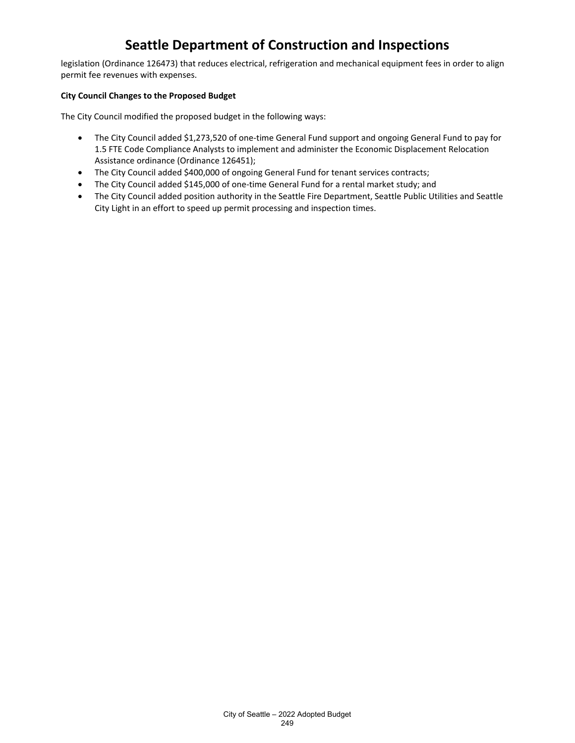legislation (Ordinance 126473) that reduces electrical, refrigeration and mechanical equipment fees in order to align permit fee revenues with expenses.

## **City Council Changes to the Proposed Budget**

The City Council modified the proposed budget in the following ways:

- The City Council added \$1,273,520 of one-time General Fund support and ongoing General Fund to pay for 1.5 FTE Code Compliance Analysts to implement and administer the Economic Displacement Relocation Assistance ordinance (Ordinance 126451);
- The City Council added \$400,000 of ongoing General Fund for tenant services contracts;
- The City Council added \$145,000 of one-time General Fund for a rental market study; and
- The City Council added position authority in the Seattle Fire Department, Seattle Public Utilities and Seattle City Light in an effort to speed up permit processing and inspection times.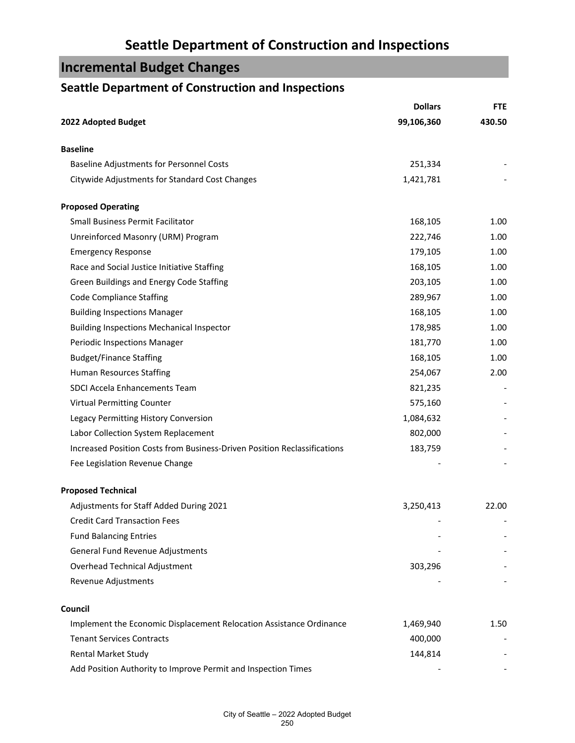# **Incremental Budget Changes**

# **Seattle Department of Construction and Inspections**

|                                                                          | <b>Dollars</b> | <b>FTE</b> |
|--------------------------------------------------------------------------|----------------|------------|
| 2022 Adopted Budget                                                      | 99,106,360     | 430.50     |
| <b>Baseline</b>                                                          |                |            |
| Baseline Adjustments for Personnel Costs                                 | 251,334        |            |
| Citywide Adjustments for Standard Cost Changes                           | 1,421,781      |            |
| <b>Proposed Operating</b>                                                |                |            |
| <b>Small Business Permit Facilitator</b>                                 | 168,105        | 1.00       |
| Unreinforced Masonry (URM) Program                                       | 222,746        | 1.00       |
| <b>Emergency Response</b>                                                | 179,105        | 1.00       |
| Race and Social Justice Initiative Staffing                              | 168,105        | 1.00       |
| Green Buildings and Energy Code Staffing                                 | 203,105        | 1.00       |
| <b>Code Compliance Staffing</b>                                          | 289,967        | 1.00       |
| <b>Building Inspections Manager</b>                                      | 168,105        | 1.00       |
| <b>Building Inspections Mechanical Inspector</b>                         | 178,985        | 1.00       |
| Periodic Inspections Manager                                             | 181,770        | 1.00       |
| <b>Budget/Finance Staffing</b>                                           | 168,105        | 1.00       |
| Human Resources Staffing                                                 | 254,067        | 2.00       |
| SDCI Accela Enhancements Team                                            | 821,235        |            |
| <b>Virtual Permitting Counter</b>                                        | 575,160        |            |
| Legacy Permitting History Conversion                                     | 1,084,632      |            |
| Labor Collection System Replacement                                      | 802,000        |            |
| Increased Position Costs from Business-Driven Position Reclassifications | 183,759        |            |
| Fee Legislation Revenue Change                                           |                |            |
| <b>Proposed Technical</b>                                                |                |            |
| Adjustments for Staff Added During 2021                                  | 3,250,413      | 22.00      |
| <b>Credit Card Transaction Fees</b>                                      |                |            |
| <b>Fund Balancing Entries</b>                                            |                |            |
| General Fund Revenue Adjustments                                         |                |            |
| Overhead Technical Adjustment                                            | 303,296        |            |
| Revenue Adjustments                                                      |                |            |
| Council                                                                  |                |            |
| Implement the Economic Displacement Relocation Assistance Ordinance      | 1,469,940      | 1.50       |
| <b>Tenant Services Contracts</b>                                         | 400,000        |            |
| <b>Rental Market Study</b>                                               | 144,814        |            |
| Add Position Authority to Improve Permit and Inspection Times            |                |            |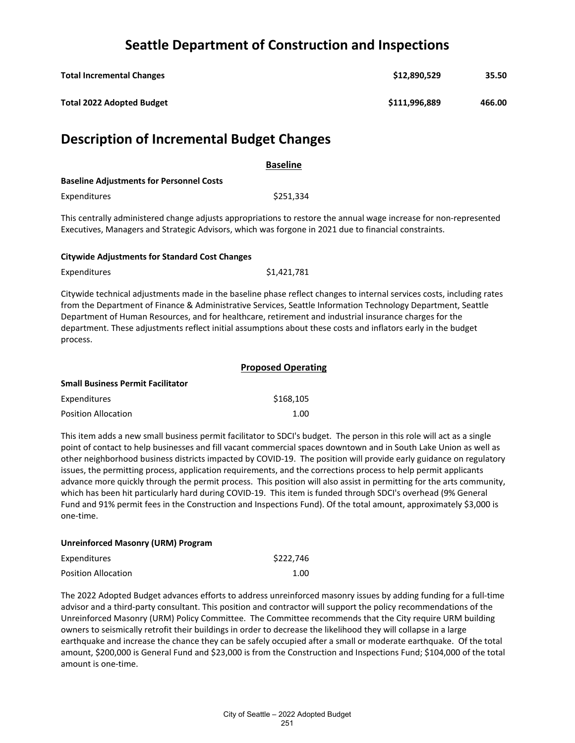| <b>Total Incremental Changes</b> | \$12,890,529  | 35.50  |
|----------------------------------|---------------|--------|
| <b>Total 2022 Adopted Budget</b> | \$111,996,889 | 466.00 |

# **Description of Incremental Budget Changes**

|                                                 | <b>Baseline</b> |  |
|-------------------------------------------------|-----------------|--|
| <b>Baseline Adjustments for Personnel Costs</b> |                 |  |
| <b>Expenditures</b>                             | \$251.334       |  |

This centrally administered change adjusts appropriations to restore the annual wage increase for non-represented Executives, Managers and Strategic Advisors, which was forgone in 2021 due to financial constraints.

### **Citywide Adjustments for Standard Cost Changes**

Expenditures \$1,421,781

Citywide technical adjustments made in the baseline phase reflect changes to internal services costs, including rates from the Department of Finance & Administrative Services, Seattle Information Technology Department, Seattle Department of Human Resources, and for healthcare, retirement and industrial insurance charges for the department. These adjustments reflect initial assumptions about these costs and inflators early in the budget process.

|                                          | <b>Proposed Operating</b> |
|------------------------------------------|---------------------------|
| <b>Small Business Permit Facilitator</b> |                           |
| Expenditures                             | \$168,105                 |
| <b>Position Allocation</b>               | 1.00                      |

This item adds a new small business permit facilitator to SDCI's budget. The person in this role will act as a single point of contact to help businesses and fill vacant commercial spaces downtown and in South Lake Union as well as other neighborhood business districts impacted by COVID-19. The position will provide early guidance on regulatory issues, the permitting process, application requirements, and the corrections process to help permit applicants advance more quickly through the permit process. This position will also assist in permitting for the arts community, which has been hit particularly hard during COVID-19. This item is funded through SDCI's overhead (9% General Fund and 91% permit fees in the Construction and Inspections Fund). Of the total amount, approximately \$3,000 is one-time.

## **Unreinforced Masonry (URM) Program**

| Expenditures               | \$222.746 |
|----------------------------|-----------|
| <b>Position Allocation</b> | 1.00      |

The 2022 Adopted Budget advances efforts to address unreinforced masonry issues by adding funding for a full-time advisor and a third-party consultant. This position and contractor will support the policy recommendations of the Unreinforced Masonry (URM) Policy Committee. The Committee recommends that the City require URM building owners to seismically retrofit their buildings in order to decrease the likelihood they will collapse in a large earthquake and increase the chance they can be safely occupied after a small or moderate earthquake. Of the total amount, \$200,000 is General Fund and \$23,000 is from the Construction and Inspections Fund; \$104,000 of the total amount is one-time.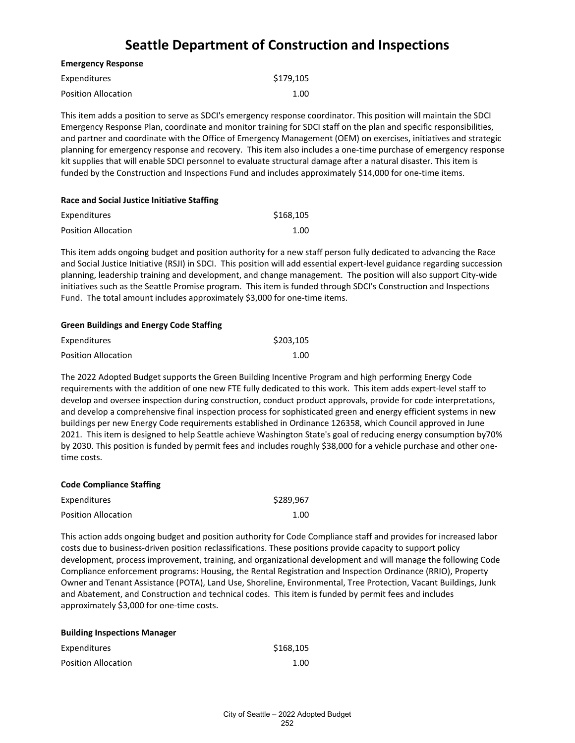| Expenditures               | \$179,105 |
|----------------------------|-----------|
| <b>Position Allocation</b> | 1.00      |

**Emergency Response**

This item adds a position to serve as SDCI's emergency response coordinator. This position will maintain the SDCI Emergency Response Plan, coordinate and monitor training for SDCI staff on the plan and specific responsibilities, and partner and coordinate with the Office of Emergency Management (OEM) on exercises, initiatives and strategic planning for emergency response and recovery. This item also includes a one-time purchase of emergency response kit supplies that will enable SDCI personnel to evaluate structural damage after a natural disaster. This item is funded by the Construction and Inspections Fund and includes approximately \$14,000 for one-time items.

| Race and Social Justice Initiative Staffing |           |  |
|---------------------------------------------|-----------|--|
| Expenditures                                | \$168.105 |  |
| <b>Position Allocation</b>                  | 1.00      |  |

This item adds ongoing budget and position authority for a new staff person fully dedicated to advancing the Race and Social Justice Initiative (RSJI) in SDCI. This position will add essential expert-level guidance regarding succession planning, leadership training and development, and change management. The position will also support City-wide initiatives such as the Seattle Promise program. This item is funded through SDCI's Construction and Inspections Fund. The total amount includes approximately \$3,000 for one-time items.

### **Green Buildings and Energy Code Staffing**

| Expenditures               | \$203.105 |
|----------------------------|-----------|
| <b>Position Allocation</b> | 1.00      |

The 2022 Adopted Budget supports the Green Building Incentive Program and high performing Energy Code requirements with the addition of one new FTE fully dedicated to this work. This item adds expert-level staff to develop and oversee inspection during construction, conduct product approvals, provide for code interpretations, and develop a comprehensive final inspection process for sophisticated green and energy efficient systems in new buildings per new Energy Code requirements established in Ordinance 126358, which Council approved in June 2021. This item is designed to help Seattle achieve Washington State's goal of reducing energy consumption by70% by 2030. This position is funded by permit fees and includes roughly \$38,000 for a vehicle purchase and other onetime costs.

#### **Code Compliance Staffing**

| Expenditures               | \$289,967 |
|----------------------------|-----------|
| <b>Position Allocation</b> | 1.00      |

This action adds ongoing budget and position authority for Code Compliance staff and provides for increased labor costs due to business-driven position reclassifications. These positions provide capacity to support policy development, process improvement, training, and organizational development and will manage the following Code Compliance enforcement programs: Housing, the Rental Registration and Inspection Ordinance (RRIO), Property Owner and Tenant Assistance (POTA), Land Use, Shoreline, Environmental, Tree Protection, Vacant Buildings, Junk and Abatement, and Construction and technical codes. This item is funded by permit fees and includes approximately \$3,000 for one-time costs.

| <b>Building Inspections Manager</b> |           |
|-------------------------------------|-----------|
| Expenditures                        | \$168.105 |
| <b>Position Allocation</b>          | 1.00      |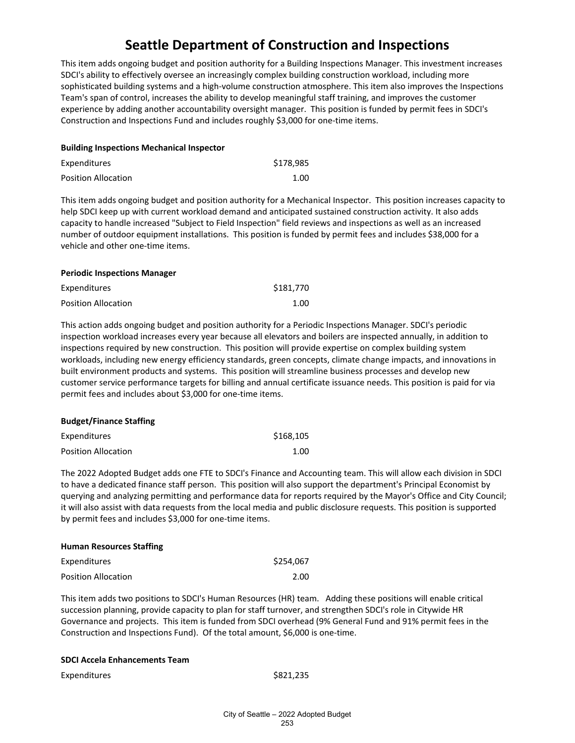This item adds ongoing budget and position authority for a Building Inspections Manager. This investment increases SDCI's ability to effectively oversee an increasingly complex building construction workload, including more sophisticated building systems and a high-volume construction atmosphere. This item also improves the Inspections Team's span of control, increases the ability to develop meaningful staff training, and improves the customer experience by adding another accountability oversight manager. This position is funded by permit fees in SDCI's Construction and Inspections Fund and includes roughly \$3,000 for one-time items.

| <b>Building Inspections Mechanical Inspector</b> |           |  |
|--------------------------------------------------|-----------|--|
| <b>Expenditures</b>                              | \$178.985 |  |
| <b>Position Allocation</b>                       | 1.00      |  |

This item adds ongoing budget and position authority for a Mechanical Inspector. This position increases capacity to help SDCI keep up with current workload demand and anticipated sustained construction activity. It also adds capacity to handle increased "Subject to Field Inspection" field reviews and inspections as well as an increased number of outdoor equipment installations. This position is funded by permit fees and includes \$38,000 for a vehicle and other one-time items.

| <b>Periodic Inspections Manager</b> |           |
|-------------------------------------|-----------|
| Expenditures                        | \$181,770 |
| <b>Position Allocation</b>          | 1.00      |

This action adds ongoing budget and position authority for a Periodic Inspections Manager. SDCI's periodic inspection workload increases every year because all elevators and boilers are inspected annually, in addition to inspections required by new construction. This position will provide expertise on complex building system workloads, including new energy efficiency standards, green concepts, climate change impacts, and innovations in built environment products and systems. This position will streamline business processes and develop new customer service performance targets for billing and annual certificate issuance needs. This position is paid for via permit fees and includes about \$3,000 for one-time items.

| <b>DUUKELITHIQHUE JUQIHHK</b> |           |
|-------------------------------|-----------|
| Expenditures                  | \$168,105 |
| <b>Position Allocation</b>    | 1.00      |

The 2022 Adopted Budget adds one FTE to SDCI's Finance and Accounting team. This will allow each division in SDCI to have a dedicated finance staff person. This position will also support the department's Principal Economist by querying and analyzing permitting and performance data for reports required by the Mayor's Office and City Council; it will also assist with data requests from the local media and public disclosure requests. This position is supported by permit fees and includes \$3,000 for one-time items.

| <b>Human Resources Staffing</b> |           |
|---------------------------------|-----------|
| Expenditures                    | \$254.067 |
| <b>Position Allocation</b>      | 2.00      |

This item adds two positions to SDCI's Human Resources (HR) team. Adding these positions will enable critical succession planning, provide capacity to plan for staff turnover, and strengthen SDCI's role in Citywide HR Governance and projects. This item is funded from SDCI overhead (9% General Fund and 91% permit fees in the Construction and Inspections Fund). Of the total amount, \$6,000 is one-time.

## **SDCI Accela Enhancements Team**

**Budget/Finance Staffing**

Expenditures \$821,235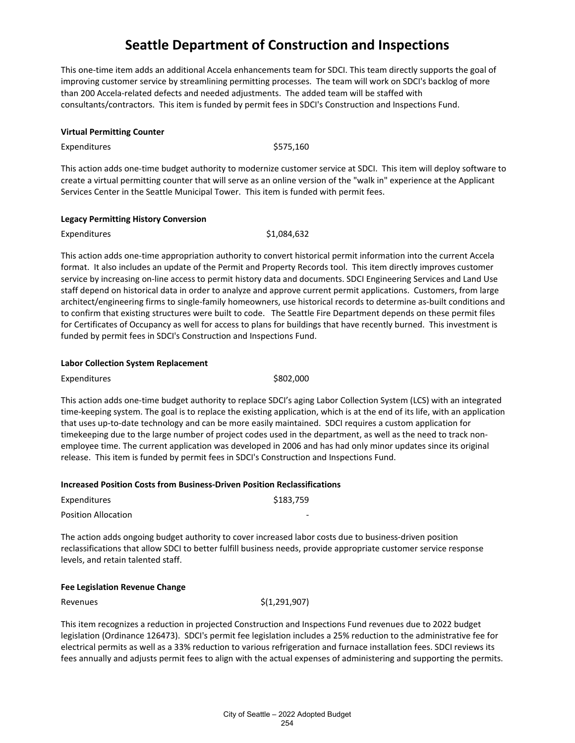This one-time item adds an additional Accela enhancements team for SDCI. This team directly supports the goal of improving customer service by streamlining permitting processes. The team will work on SDCI's backlog of more than 200 Accela-related defects and needed adjustments. The added team will be staffed with consultants/contractors. This item is funded by permit fees in SDCI's Construction and Inspections Fund.

## **Virtual Permitting Counter**

Expenditures \$575,160

This action adds one-time budget authority to modernize customer service at SDCI. This item will deploy software to create a virtual permitting counter that will serve as an online version of the "walk in" experience at the Applicant Services Center in the Seattle Municipal Tower. This item is funded with permit fees.

#### **Legacy Permitting History Conversion**

Expenditures \$1,084,632

This action adds one-time appropriation authority to convert historical permit information into the current Accela format. It also includes an update of the Permit and Property Records tool. This item directly improves customer service by increasing on-line access to permit history data and documents. SDCI Engineering Services and Land Use staff depend on historical data in order to analyze and approve current permit applications. Customers, from large architect/engineering firms to single-family homeowners, use historical records to determine as-built conditions and to confirm that existing structures were built to code. The Seattle Fire Department depends on these permit files for Certificates of Occupancy as well for access to plans for buildings that have recently burned. This investment is funded by permit fees in SDCI's Construction and Inspections Fund.

### **Labor Collection System Replacement**

Expenditures \$802,000

This action adds one-time budget authority to replace SDCI's aging Labor Collection System (LCS) with an integrated time-keeping system. The goal is to replace the existing application, which is at the end of its life, with an application that uses up-to-date technology and can be more easily maintained. SDCI requires a custom application for timekeeping due to the large number of project codes used in the department, as well as the need to track nonemployee time. The current application was developed in 2006 and has had only minor updates since its original release. This item is funded by permit fees in SDCI's Construction and Inspections Fund.

#### **Increased Position Costs from Business-Driven Position Reclassifications**

| Expenditures               | \$183.759 |
|----------------------------|-----------|
| <b>Position Allocation</b> |           |

The action adds ongoing budget authority to cover increased labor costs due to business-driven position reclassifications that allow SDCI to better fulfill business needs, provide appropriate customer service response levels, and retain talented staff.

### **Fee Legislation Revenue Change**

Revenues  $\zeta(1,291,907)$ 

This item recognizes a reduction in projected Construction and Inspections Fund revenues due to 2022 budget legislation (Ordinance 126473). SDCI's permit fee legislation includes a 25% reduction to the administrative fee for electrical permits as well as a 33% reduction to various refrigeration and furnace installation fees. SDCI reviews its fees annually and adjusts permit fees to align with the actual expenses of administering and supporting the permits.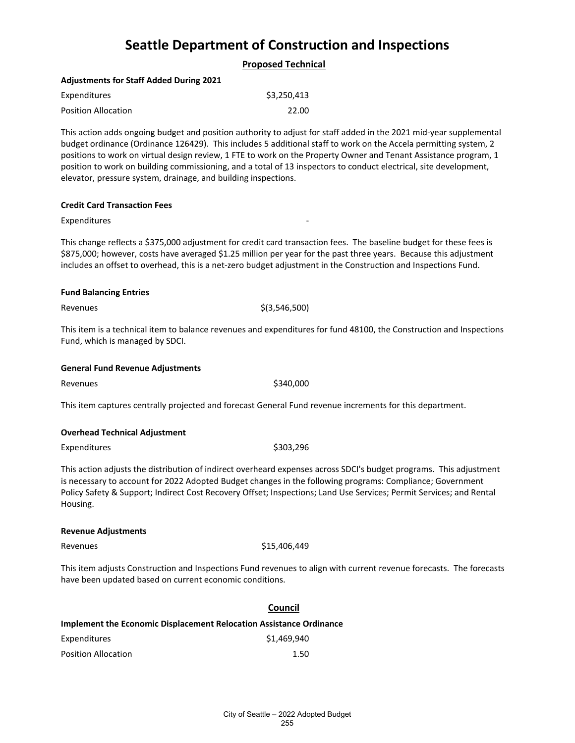|--|

### **Adjustments for Staff Added During 2021**

| Expenditures               | \$3,250,413 |
|----------------------------|-------------|
| <b>Position Allocation</b> | 22.00       |

This action adds ongoing budget and position authority to adjust for staff added in the 2021 mid-year supplemental budget ordinance (Ordinance 126429). This includes 5 additional staff to work on the Accela permitting system, 2 positions to work on virtual design review, 1 FTE to work on the Property Owner and Tenant Assistance program, 1 position to work on building commissioning, and a total of 13 inspectors to conduct electrical, site development, elevator, pressure system, drainage, and building inspections.

#### **Credit Card Transaction Fees**

#### Expenditures

This change reflects a \$375,000 adjustment for credit card transaction fees. The baseline budget for these fees is \$875,000; however, costs have averaged \$1.25 million per year for the past three years. Because this adjustment includes an offset to overhead, this is a net-zero budget adjustment in the Construction and Inspections Fund.

#### **Fund Balancing Entries**

Revenues  $\zeta(3,546,500)$ 

This item is a technical item to balance revenues and expenditures for fund 48100, the Construction and Inspections Fund, which is managed by SDCI.

#### **General Fund Revenue Adjustments**

Revenues \$340,000

This item captures centrally projected and forecast General Fund revenue increments for this department.

### **Overhead Technical Adjustment**

Expenditures \$303,296

This action adjusts the distribution of indirect overheard expenses across SDCI's budget programs. This adjustment is necessary to account for 2022 Adopted Budget changes in the following programs: Compliance; Government Policy Safety & Support; Indirect Cost Recovery Offset; Inspections; Land Use Services; Permit Services; and Rental Housing.

#### **Revenue Adjustments**

Revenues \$15,406,449

This item adjusts Construction and Inspections Fund revenues to align with current revenue forecasts. The forecasts have been updated based on current economic conditions.

## **Council**

| Implement the Economic Displacement Relocation Assistance Ordinance |             |  |
|---------------------------------------------------------------------|-------------|--|
| Expenditures                                                        | \$1.469.940 |  |
| <b>Position Allocation</b>                                          | 1.50        |  |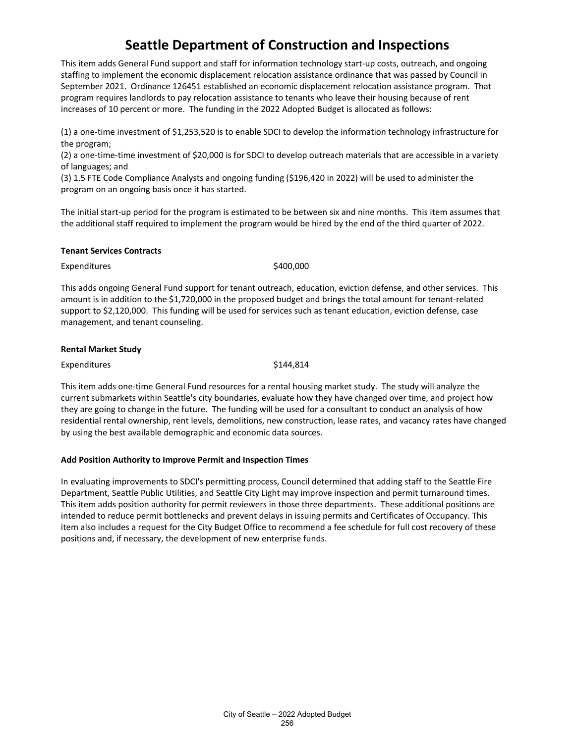This item adds General Fund support and staff for information technology start-up costs, outreach, and ongoing staffing to implement the economic displacement relocation assistance ordinance that was passed by Council in September 2021. Ordinance 126451 established an economic displacement relocation assistance program. That program requires landlords to pay relocation assistance to tenants who leave their housing because of rent increases of 10 percent or more. The funding in the 2022 Adopted Budget is allocated as follows:

(1) a one-time investment of \$1,253,520 is to enable SDCI to develop the information technology infrastructure for the program;

(2) a one-time-time investment of \$20,000 is for SDCI to develop outreach materials that are accessible in a variety of languages; and

(3) 1.5 FTE Code Compliance Analysts and ongoing funding (\$196,420 in 2022) will be used to administer the program on an ongoing basis once it has started.

The initial start-up period for the program is estimated to be between six and nine months. This item assumes that the additional staff required to implement the program would be hired by the end of the third quarter of 2022.

#### **Tenant Services Contracts**

Expenditures \$400,000

This adds ongoing General Fund support for tenant outreach, education, eviction defense, and other services. This amount is in addition to the \$1,720,000 in the proposed budget and brings the total amount for tenant-related support to \$2,120,000. This funding will be used for services such as tenant education, eviction defense, case management, and tenant counseling.

### **Rental Market Study**

Expenditures \$144,814

This item adds one-time General Fund resources for a rental housing market study. The study will analyze the current submarkets within Seattle's city boundaries, evaluate how they have changed over time, and project how they are going to change in the future. The funding will be used for a consultant to conduct an analysis of how residential rental ownership, rent levels, demolitions, new construction, lease rates, and vacancy rates have changed by using the best available demographic and economic data sources.

## **Add Position Authority to Improve Permit and Inspection Times**

In evaluating improvements to SDCI's permitting process, Council determined that adding staff to the Seattle Fire Department, Seattle Public Utilities, and Seattle City Light may improve inspection and permit turnaround times. This item adds position authority for permit reviewers in those three departments. These additional positions are intended to reduce permit bottlenecks and prevent delays in issuing permits and Certificates of Occupancy. This item also includes a request for the City Budget Office to recommend a fee schedule for full cost recovery of these positions and, if necessary, the development of new enterprise funds.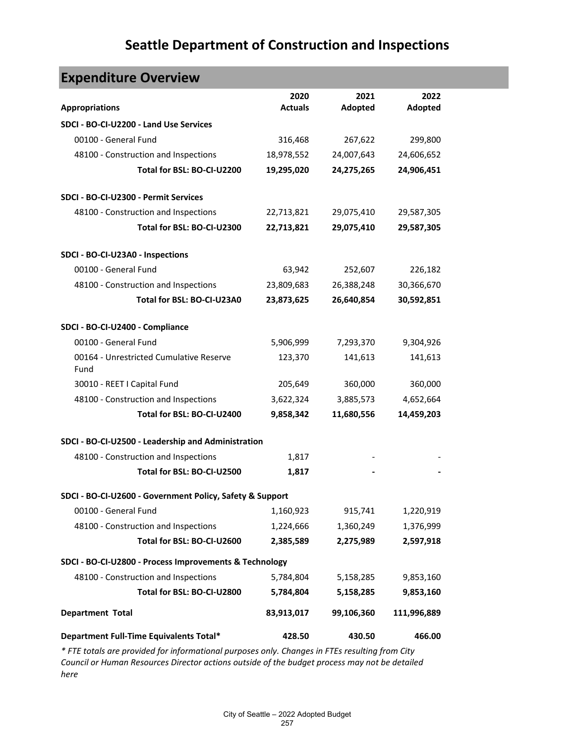| <b>Expenditure Overview</b>                              |                        |                 |                 |  |  |
|----------------------------------------------------------|------------------------|-----------------|-----------------|--|--|
| <b>Appropriations</b>                                    | 2020<br><b>Actuals</b> | 2021<br>Adopted | 2022<br>Adopted |  |  |
| SDCI - BO-CI-U2200 - Land Use Services                   |                        |                 |                 |  |  |
| 00100 - General Fund                                     | 316,468                | 267,622         | 299,800         |  |  |
| 48100 - Construction and Inspections                     | 18,978,552             | 24,007,643      | 24,606,652      |  |  |
| Total for BSL: BO-CI-U2200                               | 19,295,020             | 24,275,265      | 24,906,451      |  |  |
| SDCI - BO-CI-U2300 - Permit Services                     |                        |                 |                 |  |  |
| 48100 - Construction and Inspections                     | 22,713,821             | 29,075,410      | 29,587,305      |  |  |
| Total for BSL: BO-CI-U2300                               | 22,713,821             | 29,075,410      | 29,587,305      |  |  |
| SDCI - BO-CI-U23A0 - Inspections                         |                        |                 |                 |  |  |
| 00100 - General Fund                                     | 63,942                 | 252,607         | 226,182         |  |  |
| 48100 - Construction and Inspections                     | 23,809,683             | 26,388,248      | 30,366,670      |  |  |
| Total for BSL: BO-CI-U23A0                               | 23,873,625             | 26,640,854      | 30,592,851      |  |  |
| SDCI - BO-CI-U2400 - Compliance                          |                        |                 |                 |  |  |
| 00100 - General Fund                                     | 5,906,999              | 7,293,370       | 9,304,926       |  |  |
| 00164 - Unrestricted Cumulative Reserve<br>Fund          | 123,370                | 141,613         | 141,613         |  |  |
| 30010 - REET I Capital Fund                              | 205,649                | 360,000         | 360,000         |  |  |
| 48100 - Construction and Inspections                     | 3,622,324              | 3,885,573       | 4,652,664       |  |  |
| Total for BSL: BO-CI-U2400                               | 9,858,342              | 11,680,556      | 14,459,203      |  |  |
| SDCI - BO-CI-U2500 - Leadership and Administration       |                        |                 |                 |  |  |
| 48100 - Construction and Inspections                     | 1,817                  |                 |                 |  |  |
| Total for BSL: BO-CI-U2500                               | 1,817                  |                 |                 |  |  |
| SDCI - BO-CI-U2600 - Government Policy, Safety & Support |                        |                 |                 |  |  |
| 00100 - General Fund                                     | 1,160,923              | 915,741         | 1,220,919       |  |  |
| 48100 - Construction and Inspections                     | 1,224,666              | 1,360,249       | 1,376,999       |  |  |
| Total for BSL: BO-CI-U2600                               | 2,385,589              | 2,275,989       | 2,597,918       |  |  |
| SDCI - BO-CI-U2800 - Process Improvements & Technology   |                        |                 |                 |  |  |
| 48100 - Construction and Inspections                     | 5,784,804              | 5,158,285       | 9,853,160       |  |  |
| Total for BSL: BO-CI-U2800                               | 5,784,804              | 5,158,285       | 9,853,160       |  |  |
| <b>Department Total</b>                                  | 83,913,017             | 99,106,360      | 111,996,889     |  |  |
| Department Full-Time Equivalents Total*                  | 428.50                 | 430.50          | 466.00          |  |  |

*\* FTE totals are provided for informational purposes only. Changes in FTEs resulting from City Council or Human Resources Director actions outside of the budget process may not be detailed here*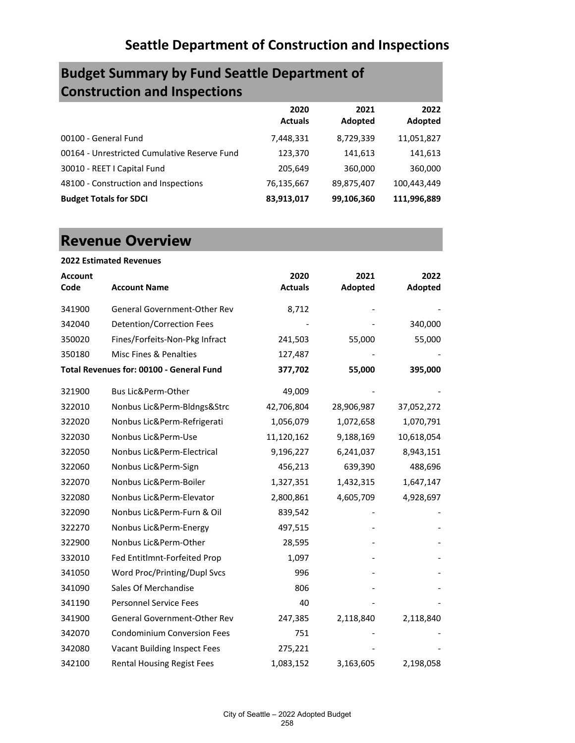# **Budget Summary by Fund Seattle Department of Construction and Inspections**

|                                              | 2020<br><b>Actuals</b> | 2021<br>Adopted | 2022<br>Adopted |
|----------------------------------------------|------------------------|-----------------|-----------------|
| 00100 - General Fund                         | 7,448,331              | 8,729,339       | 11,051,827      |
| 00164 - Unrestricted Cumulative Reserve Fund | 123,370                | 141,613         | 141,613         |
| 30010 - REET I Capital Fund                  | 205,649                | 360,000         | 360,000         |
| 48100 - Construction and Inspections         | 76,135,667             | 89,875,407      | 100,443,449     |
| <b>Budget Totals for SDCI</b>                | 83,913,017             | 99,106,360      | 111,996,889     |

# **Revenue Overview**

|                | <b>2022 Estimated Revenues</b>           |                |            |            |
|----------------|------------------------------------------|----------------|------------|------------|
| <b>Account</b> |                                          | 2020           | 2021       | 2022       |
| Code           | <b>Account Name</b>                      | <b>Actuals</b> | Adopted    | Adopted    |
| 341900         | General Government-Other Rev             | 8,712          |            |            |
| 342040         | <b>Detention/Correction Fees</b>         |                |            | 340,000    |
| 350020         | Fines/Forfeits-Non-Pkg Infract           | 241,503        | 55,000     | 55,000     |
| 350180         | Misc Fines & Penalties                   | 127,487        |            |            |
|                | Total Revenues for: 00100 - General Fund | 377,702        | 55,000     | 395,000    |
| 321900         | Bus Lic&Perm-Other                       | 49,009         |            |            |
| 322010         | Nonbus Lic&Perm-Bldngs&Strc              | 42,706,804     | 28,906,987 | 37,052,272 |
| 322020         | Nonbus Lic&Perm-Refrigerati              | 1,056,079      | 1,072,658  | 1,070,791  |
| 322030         | Nonbus Lic&Perm-Use                      | 11,120,162     | 9,188,169  | 10,618,054 |
| 322050         | Nonbus Lic&Perm-Electrical               | 9,196,227      | 6,241,037  | 8,943,151  |
| 322060         | Nonbus Lic&Perm-Sign                     | 456,213        | 639,390    | 488,696    |
| 322070         | Nonbus Lic&Perm-Boiler                   | 1,327,351      | 1,432,315  | 1,647,147  |
| 322080         | Nonbus Lic&Perm-Elevator                 | 2,800,861      | 4,605,709  | 4,928,697  |
| 322090         | Nonbus Lic&Perm-Furn & Oil               | 839,542        |            |            |
| 322270         | Nonbus Lic&Perm-Energy                   | 497,515        |            |            |
| 322900         | Nonbus Lic&Perm-Other                    | 28,595         |            |            |
| 332010         | Fed Entitlmnt-Forfeited Prop             | 1,097          |            |            |
| 341050         | Word Proc/Printing/Dupl Svcs             | 996            |            |            |
| 341090         | Sales Of Merchandise                     | 806            |            |            |
| 341190         | <b>Personnel Service Fees</b>            | 40             |            |            |
| 341900         | General Government-Other Rev             | 247,385        | 2,118,840  | 2,118,840  |
| 342070         | <b>Condominium Conversion Fees</b>       | 751            |            |            |
| 342080         | Vacant Building Inspect Fees             | 275,221        |            |            |
| 342100         | <b>Rental Housing Regist Fees</b>        | 1,083,152      | 3,163,605  | 2,198,058  |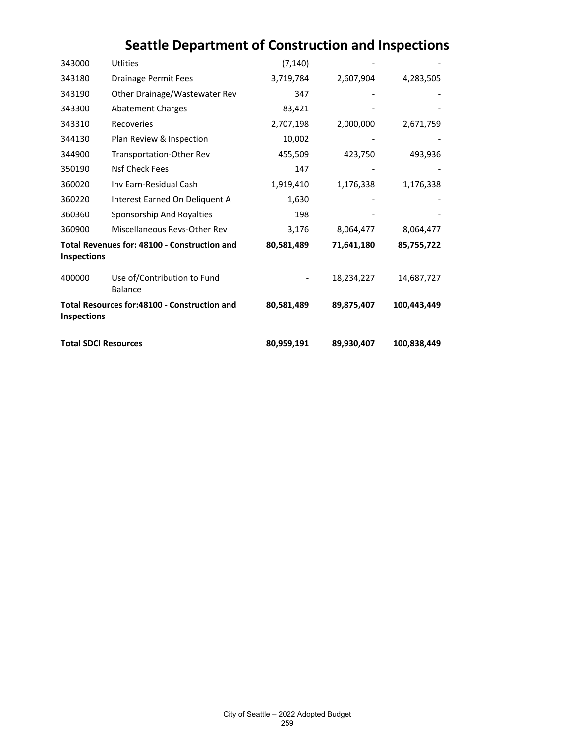| 343000                      | Utlities                                      | (7, 140)   |            |             |
|-----------------------------|-----------------------------------------------|------------|------------|-------------|
| 343180                      | Drainage Permit Fees                          | 3,719,784  | 2,607,904  | 4,283,505   |
| 343190                      | Other Drainage/Wastewater Rev                 | 347        |            |             |
| 343300                      | <b>Abatement Charges</b>                      | 83,421     |            |             |
| 343310                      | Recoveries                                    | 2,707,198  | 2,000,000  | 2,671,759   |
| 344130                      | Plan Review & Inspection                      | 10,002     |            |             |
| 344900                      | Transportation-Other Rev                      | 455,509    | 423,750    | 493,936     |
| 350190                      | Nsf Check Fees                                | 147        |            |             |
| 360020                      | Inv Earn-Residual Cash                        | 1,919,410  | 1,176,338  | 1,176,338   |
| 360220                      | Interest Earned On Deliquent A                | 1,630      |            |             |
| 360360                      | Sponsorship And Royalties                     | 198        |            |             |
| 360900                      | Miscellaneous Revs-Other Rev                  | 3,176      | 8,064,477  | 8,064,477   |
| <b>Inspections</b>          | Total Revenues for: 48100 - Construction and  | 80,581,489 | 71,641,180 | 85,755,722  |
| 400000                      | Use of/Contribution to Fund<br><b>Balance</b> |            | 18,234,227 | 14,687,727  |
| <b>Inspections</b>          | Total Resources for:48100 - Construction and  | 80,581,489 | 89,875,407 | 100,443,449 |
| <b>Total SDCI Resources</b> |                                               | 80,959,191 | 89,930,407 | 100,838,449 |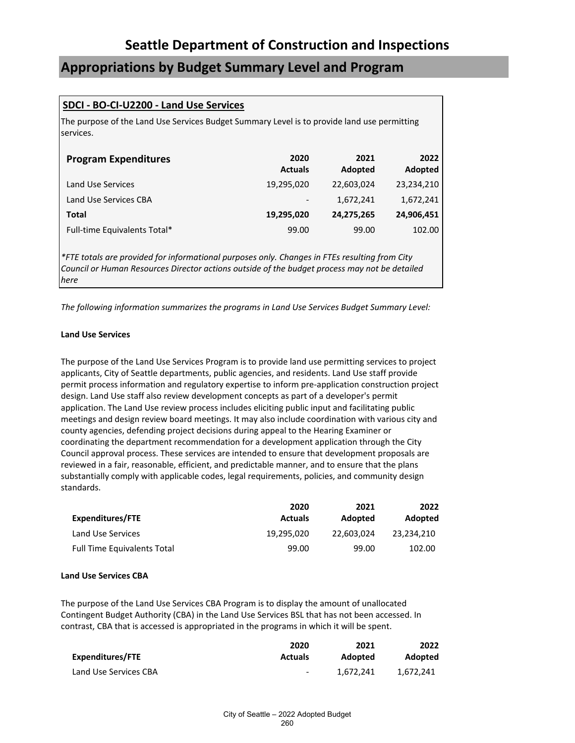# **Appropriations by Budget Summary Level and Program**

## **SDCI - BO-CI-U2200 - Land Use Services**

The purpose of the Land Use Services Budget Summary Level is to provide land use permitting services.

| <b>Program Expenditures</b>  | 2020<br><b>Actuals</b>   | 2021<br>Adopted | 2022<br>Adopted |
|------------------------------|--------------------------|-----------------|-----------------|
| Land Use Services            | 19,295,020               | 22,603,024      | 23,234,210      |
| Land Use Services CBA        | $\overline{\phantom{a}}$ | 1,672,241       | 1,672,241       |
| Total                        | 19,295,020               | 24,275,265      | 24,906,451      |
| Full-time Equivalents Total* | 99.00                    | 99.00           | 102.00          |

*\*FTE totals are provided for informational purposes only. Changes in FTEs resulting from City Council or Human Resources Director actions outside of the budget process may not be detailed here*

*The following information summarizes the programs in Land Use Services Budget Summary Level:*

## **Land Use Services**

The purpose of the Land Use Services Program is to provide land use permitting services to project applicants, City of Seattle departments, public agencies, and residents. Land Use staff provide permit process information and regulatory expertise to inform pre-application construction project design. Land Use staff also review development concepts as part of a developer's permit application. The Land Use review process includes eliciting public input and facilitating public meetings and design review board meetings. It may also include coordination with various city and county agencies, defending project decisions during appeal to the Hearing Examiner or coordinating the department recommendation for a development application through the City Council approval process. These services are intended to ensure that development proposals are reviewed in a fair, reasonable, efficient, and predictable manner, and to ensure that the plans substantially comply with applicable codes, legal requirements, policies, and community design standards.

|                                    | 2020           | 2021       | 2022       |
|------------------------------------|----------------|------------|------------|
| Expenditures/FTE                   | <b>Actuals</b> | Adopted    | Adopted    |
| Land Use Services                  | 19.295.020     | 22.603.024 | 23.234.210 |
| <b>Full Time Equivalents Total</b> | 99.00          | 99.00      | 102.00     |

#### **Land Use Services CBA**

The purpose of the Land Use Services CBA Program is to display the amount of unallocated Contingent Budget Authority (CBA) in the Land Use Services BSL that has not been accessed. In contrast, CBA that is accessed is appropriated in the programs in which it will be spent.

|                       | 2020           | 2021      | 2022      |
|-----------------------|----------------|-----------|-----------|
| Expenditures/FTE      | <b>Actuals</b> | Adopted   | Adopted   |
| Land Use Services CBA | $\sim$         | 1.672.241 | 1.672.241 |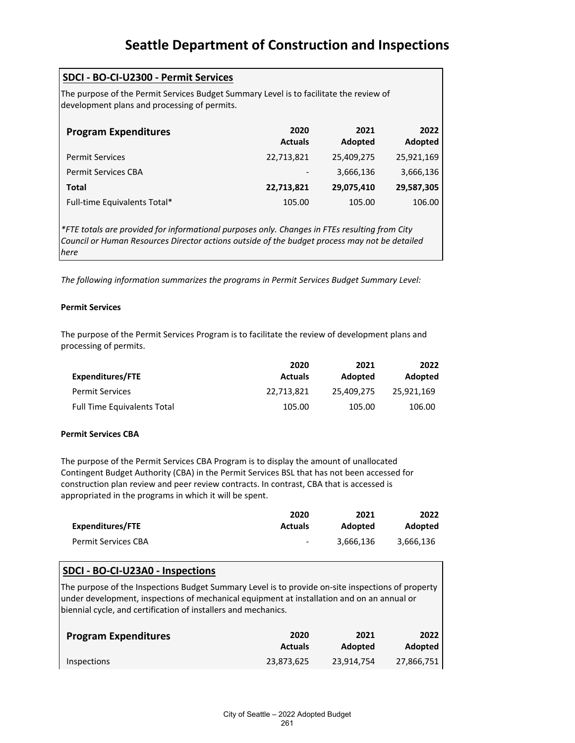| SDCI - BO-CI-U2300 - Permit Services                                                                                                   |                        |                 |                 |
|----------------------------------------------------------------------------------------------------------------------------------------|------------------------|-----------------|-----------------|
| The purpose of the Permit Services Budget Summary Level is to facilitate the review of<br>development plans and processing of permits. |                        |                 |                 |
| <b>Program Expenditures</b>                                                                                                            | 2020<br><b>Actuals</b> | 2021<br>Adopted | 2022<br>Adopted |
| <b>Permit Services</b>                                                                                                                 | 22,713,821             | 25,409,275      | 25,921,169      |
| <b>Permit Services CBA</b>                                                                                                             |                        | 3,666,136       | 3,666,136       |
| Total                                                                                                                                  | 22,713,821             | 29,075,410      | 29,587,305      |
| Full-time Equivalents Total*                                                                                                           | 105.00                 | 105.00          | 106.00          |

*\*FTE totals are provided for informational purposes only. Changes in FTEs resulting from City Council or Human Resources Director actions outside of the budget process may not be detailed here*

*The following information summarizes the programs in Permit Services Budget Summary Level:*

## **Permit Services**

The purpose of the Permit Services Program is to facilitate the review of development plans and processing of permits.

|                                    | 2020           | 2021       | 2022       |
|------------------------------------|----------------|------------|------------|
| Expenditures/FTE                   | <b>Actuals</b> | Adopted    | Adopted    |
| <b>Permit Services</b>             | 22.713.821     | 25.409.275 | 25.921.169 |
| <b>Full Time Equivalents Total</b> | 105.00         | 105.00     | 106.00     |

## **Permit Services CBA**

The purpose of the Permit Services CBA Program is to display the amount of unallocated Contingent Budget Authority (CBA) in the Permit Services BSL that has not been accessed for construction plan review and peer review contracts. In contrast, CBA that is accessed is appropriated in the programs in which it will be spent.

|                     | 2020                     | 2021      | 2022           |
|---------------------|--------------------------|-----------|----------------|
| Expenditures/FTE    | <b>Actuals</b>           | Adopted   | <b>Adopted</b> |
| Permit Services CBA | $\overline{\phantom{0}}$ | 3.666.136 | 3.666.136      |

# **SDCI - BO-CI-U23A0 - Inspections**

The purpose of the Inspections Budget Summary Level is to provide on-site inspections of property under development, inspections of mechanical equipment at installation and on an annual or biennial cycle, and certification of installers and mechanics.

| <b>Program Expenditures</b> | 2020           | 2021       | <b>2022</b> l |
|-----------------------------|----------------|------------|---------------|
|                             | <b>Actuals</b> | Adopted    | Adopted       |
| <b>Inspections</b>          | 23,873,625     | 23,914,754 | 27,866,751    |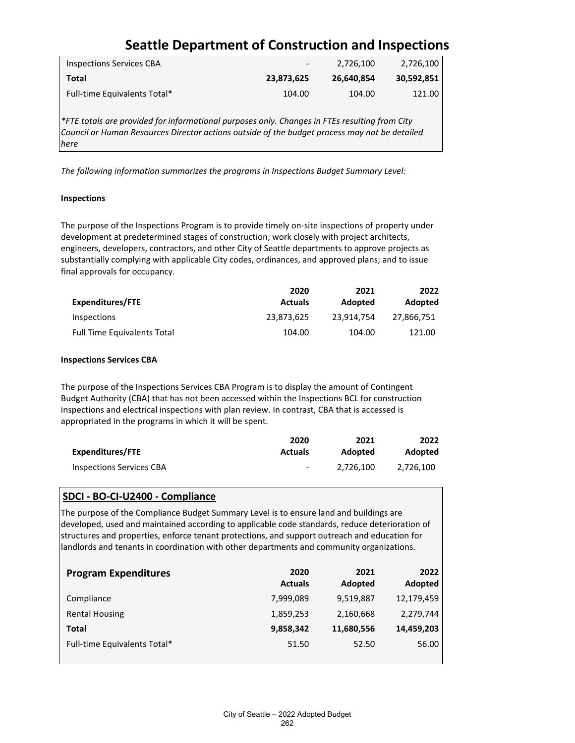| <b>Inspections Services CBA</b> | $\overline{\phantom{a}}$ | 2.726.100  | 2,726,100  |
|---------------------------------|--------------------------|------------|------------|
| Total                           | 23.873.625               | 26.640.854 | 30,592,851 |
| Full-time Equivalents Total*    | 104.00                   | 104.00     | 121.00     |

*\*FTE totals are provided for informational purposes only. Changes in FTEs resulting from City Council or Human Resources Director actions outside of the budget process may not be detailed here*

*The following information summarizes the programs in Inspections Budget Summary Level:*

### **Inspections**

The purpose of the Inspections Program is to provide timely on-site inspections of property under development at predetermined stages of construction; work closely with project architects, engineers, developers, contractors, and other City of Seattle departments to approve projects as substantially complying with applicable City codes, ordinances, and approved plans; and to issue final approvals for occupancy.

|                                    | 2020           | 2021       | 2022       |
|------------------------------------|----------------|------------|------------|
| <b>Expenditures/FTE</b>            | <b>Actuals</b> | Adopted    | Adopted    |
| Inspections                        | 23,873,625     | 23.914.754 | 27.866.751 |
| <b>Full Time Equivalents Total</b> | 104.00         | 104.00     | 121.00     |

### **Inspections Services CBA**

The purpose of the Inspections Services CBA Program is to display the amount of Contingent Budget Authority (CBA) that has not been accessed within the Inspections BCL for construction inspections and electrical inspections with plan review. In contrast, CBA that is accessed is appropriated in the programs in which it will be spent.

|                                 | 2020                     | 2021      | 2022      |
|---------------------------------|--------------------------|-----------|-----------|
| Expenditures/FTE                | <b>Actuals</b>           | Adopted   | Adopted   |
| <b>Inspections Services CBA</b> | $\overline{\phantom{0}}$ | 2.726.100 | 2.726.100 |

## **SDCI - BO-CI-U2400 - Compliance**

The purpose of the Compliance Budget Summary Level is to ensure land and buildings are developed, used and maintained according to applicable code standards, reduce deterioration of structures and properties, enforce tenant protections, and support outreach and education for landlords and tenants in coordination with other departments and community organizations.

| <b>Program Expenditures</b>  | 2020<br><b>Actuals</b> | 2021<br>Adopted | 2022<br>Adopted |
|------------------------------|------------------------|-----------------|-----------------|
| Compliance                   | 7,999,089              | 9,519,887       | 12,179,459      |
| <b>Rental Housing</b>        | 1,859,253              | 2,160,668       | 2,279,744       |
| Total                        | 9,858,342              | 11,680,556      | 14,459,203      |
| Full-time Equivalents Total* | 51.50                  | 52.50           | 56.00           |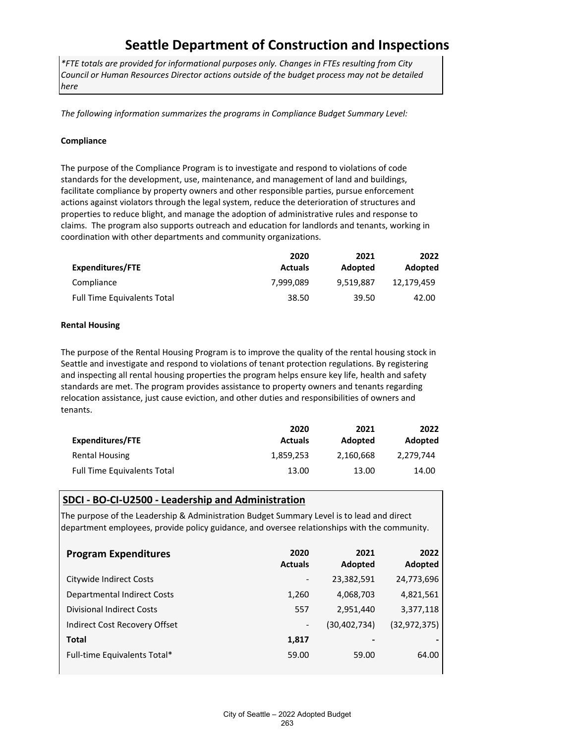*\*FTE totals are provided for informational purposes only. Changes in FTEs resulting from City Council or Human Resources Director actions outside of the budget process may not be detailed here*

*The following information summarizes the programs in Compliance Budget Summary Level:*

### **Compliance**

The purpose of the Compliance Program is to investigate and respond to violations of code standards for the development, use, maintenance, and management of land and buildings, facilitate compliance by property owners and other responsible parties, pursue enforcement actions against violators through the legal system, reduce the deterioration of structures and properties to reduce blight, and manage the adoption of administrative rules and response to claims. The program also supports outreach and education for landlords and tenants, working in coordination with other departments and community organizations.

|                                    | 2020           | 2021      | 2022       |
|------------------------------------|----------------|-----------|------------|
| Expenditures/FTE                   | <b>Actuals</b> | Adopted   | Adopted    |
| Compliance                         | 7.999.089      | 9.519.887 | 12.179.459 |
| <b>Full Time Equivalents Total</b> | 38.50          | 39.50     | 42.00      |

### **Rental Housing**

The purpose of the Rental Housing Program is to improve the quality of the rental housing stock in Seattle and investigate and respond to violations of tenant protection regulations. By registering and inspecting all rental housing properties the program helps ensure key life, health and safety standards are met. The program provides assistance to property owners and tenants regarding relocation assistance, just cause eviction, and other duties and responsibilities of owners and tenants.

|                                    | 2020           | 2021      | 2022      |
|------------------------------------|----------------|-----------|-----------|
| Expenditures/FTE                   | <b>Actuals</b> | Adopted   | Adopted   |
| Rental Housing                     | 1,859,253      | 2,160,668 | 2.279.744 |
| <b>Full Time Equivalents Total</b> | 13.00          | 13.00     | 14.00     |

## **SDCI - BO-CI-U2500 - Leadership and Administration**

The purpose of the Leadership & Administration Budget Summary Level is to lead and direct department employees, provide policy guidance, and oversee relationships with the community.

| <b>Program Expenditures</b>      | 2020<br><b>Actuals</b>   | 2021<br>Adopted | 2022<br>Adopted |
|----------------------------------|--------------------------|-----------------|-----------------|
| Citywide Indirect Costs          | $\overline{\phantom{a}}$ | 23,382,591      | 24,773,696      |
| Departmental Indirect Costs      | 1,260                    | 4,068,703       | 4,821,561       |
| <b>Divisional Indirect Costs</b> | 557                      | 2,951,440       | 3,377,118       |
| Indirect Cost Recovery Offset    | $\overline{\phantom{a}}$ | (30,402,734)    | (32, 972, 375)  |
| <b>Total</b>                     | 1,817                    | -               |                 |
| Full-time Equivalents Total*     | 59.00                    | 59.00           | 64.00           |
|                                  |                          |                 |                 |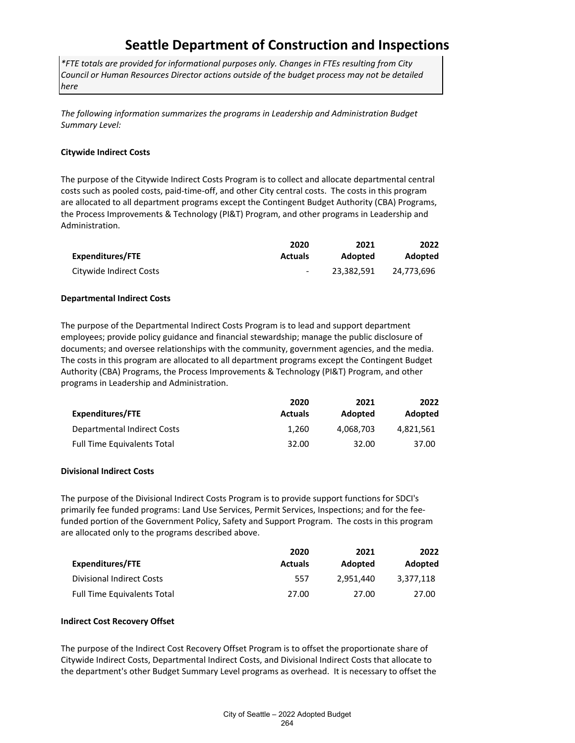*\*FTE totals are provided for informational purposes only. Changes in FTEs resulting from City Council or Human Resources Director actions outside of the budget process may not be detailed here*

*The following information summarizes the programs in Leadership and Administration Budget Summary Level:*

## **Citywide Indirect Costs**

The purpose of the Citywide Indirect Costs Program is to collect and allocate departmental central costs such as pooled costs, paid-time-off, and other City central costs. The costs in this program are allocated to all department programs except the Contingent Budget Authority (CBA) Programs, the Process Improvements & Technology (PI&T) Program, and other programs in Leadership and Administration.

|                         | 2020                     | 2021       | 2022       |
|-------------------------|--------------------------|------------|------------|
| Expenditures/FTE        | <b>Actuals</b>           | Adopted    | Adopted    |
| Citywide Indirect Costs | $\overline{\phantom{a}}$ | 23,382,591 | 24.773.696 |

### **Departmental Indirect Costs**

The purpose of the Departmental Indirect Costs Program is to lead and support department employees; provide policy guidance and financial stewardship; manage the public disclosure of documents; and oversee relationships with the community, government agencies, and the media. The costs in this program are allocated to all department programs except the Contingent Budget Authority (CBA) Programs, the Process Improvements & Technology (PI&T) Program, and other programs in Leadership and Administration.

|                                    | 2020           | 2021           | 2022      |
|------------------------------------|----------------|----------------|-----------|
| Expenditures/FTE                   | <b>Actuals</b> | <b>Adopted</b> | Adopted   |
| Departmental Indirect Costs        | 1.260          | 4.068.703      | 4.821.561 |
| <b>Full Time Equivalents Total</b> | 32.00          | 32.00          | 37.00     |

## **Divisional Indirect Costs**

The purpose of the Divisional Indirect Costs Program is to provide support functions for SDCI's primarily fee funded programs: Land Use Services, Permit Services, Inspections; and for the feefunded portion of the Government Policy, Safety and Support Program. The costs in this program are allocated only to the programs described above.

|                                    | 2020           | 2021      | 2022      |
|------------------------------------|----------------|-----------|-----------|
| Expenditures/FTE                   | <b>Actuals</b> | Adopted   | Adopted   |
| <b>Divisional Indirect Costs</b>   | 557            | 2.951.440 | 3.377.118 |
| <b>Full Time Equivalents Total</b> | 27.00          | 27.00     | 27.00     |

#### **Indirect Cost Recovery Offset**

The purpose of the Indirect Cost Recovery Offset Program is to offset the proportionate share of Citywide Indirect Costs, Departmental Indirect Costs, and Divisional Indirect Costs that allocate to the department's other Budget Summary Level programs as overhead. It is necessary to offset the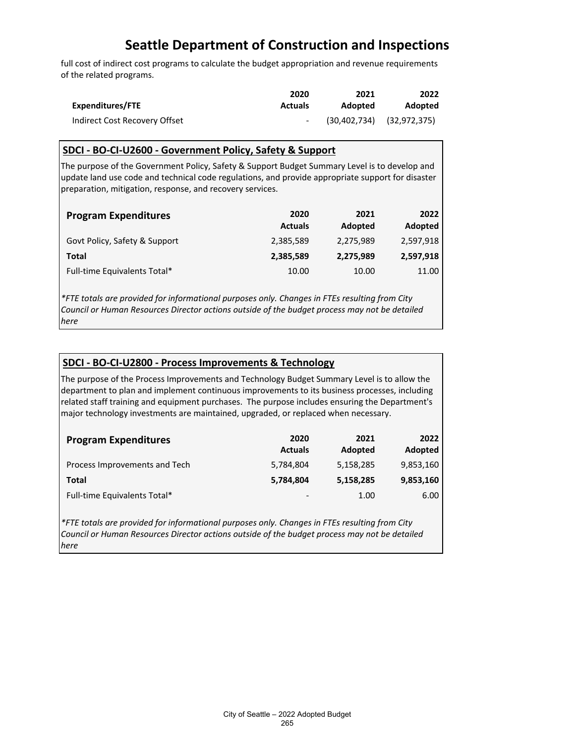full cost of indirect cost programs to calculate the budget appropriation and revenue requirements of the related programs.

|                               | 2020           | 2021    | 2022                          |
|-------------------------------|----------------|---------|-------------------------------|
| Expenditures/FTE              | <b>Actuals</b> | Adopted | <b>Adopted</b>                |
| Indirect Cost Recovery Offset |                |         | $(30,402,734)$ $(32,972,375)$ |

# **SDCI - BO-CI-U2600 - Government Policy, Safety & Support**

The purpose of the Government Policy, Safety & Support Budget Summary Level is to develop and update land use code and technical code regulations, and provide appropriate support for disaster preparation, mitigation, response, and recovery services.

| <b>Program Expenditures</b>   | 2020<br><b>Actuals</b> | 2021<br>Adopted | 2022<br>Adopted |
|-------------------------------|------------------------|-----------------|-----------------|
| Govt Policy, Safety & Support | 2,385,589              | 2,275,989       | 2,597,918       |
| Total                         | 2,385,589              | 2,275,989       | 2,597,918       |
| Full-time Equivalents Total*  | 10.00                  | 10.00           | 11.00           |

*\*FTE totals are provided for informational purposes only. Changes in FTEs resulting from City Council or Human Resources Director actions outside of the budget process may not be detailed here*

## **SDCI - BO-CI-U2800 - Process Improvements & Technology**

The purpose of the Process Improvements and Technology Budget Summary Level is to allow the department to plan and implement continuous improvements to its business processes, including related staff training and equipment purchases. The purpose includes ensuring the Department's major technology investments are maintained, upgraded, or replaced when necessary.

| <b>Program Expenditures</b>   | 2020<br><b>Actuals</b>   | 2021<br>Adopted | 2022<br><b>Adopted</b> |
|-------------------------------|--------------------------|-----------------|------------------------|
| Process Improvements and Tech | 5,784,804                | 5,158,285       | 9,853,160              |
| Total                         | 5,784,804                | 5,158,285       | 9,853,160              |
| Full-time Equivalents Total*  | $\overline{\phantom{a}}$ | 1.00            | 6.00                   |

*\*FTE totals are provided for informational purposes only. Changes in FTEs resulting from City Council or Human Resources Director actions outside of the budget process may not be detailed here*